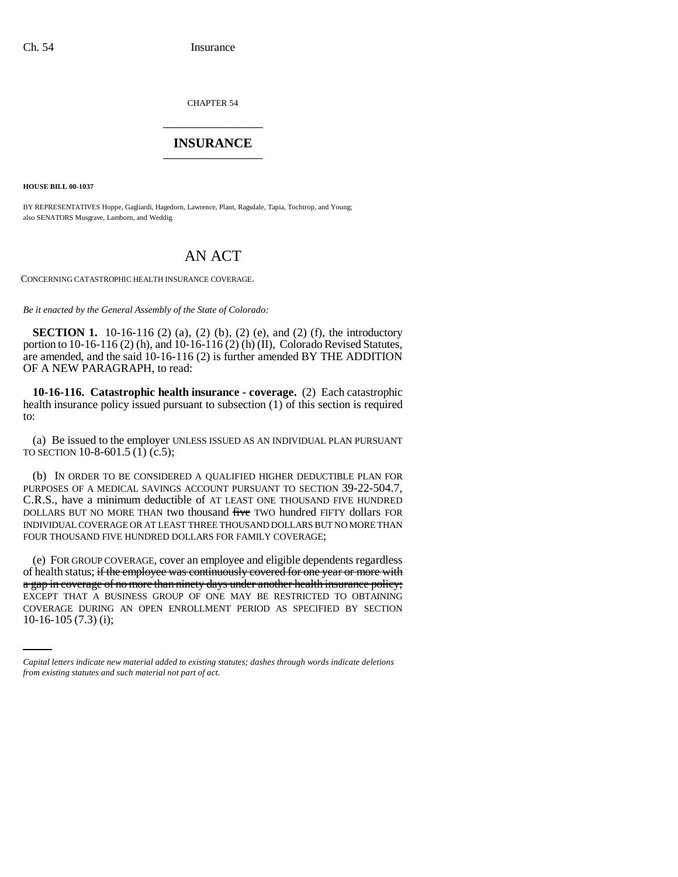CHAPTER 54 \_\_\_\_\_\_\_\_\_\_\_\_\_\_\_

## **INSURANCE** \_\_\_\_\_\_\_\_\_\_\_\_\_\_\_

**HOUSE BILL 00-1037** 

BY REPRESENTATIVES Hoppe, Gagliardi, Hagedorn, Lawrence, Plant, Ragsdale, Tapia, Tochtrop, and Young; also SENATORS Musgrave, Lamborn, and Weddig.

## AN ACT

CONCERNING CATASTROPHIC HEALTH INSURANCE COVERAGE.

*Be it enacted by the General Assembly of the State of Colorado:*

**SECTION 1.** 10-16-116 (2) (a), (2) (b), (2) (e), and (2) (f), the introductory portion to 10-16-116 (2) (h), and 10-16-116 (2) (h) (II), Colorado Revised Statutes, are amended, and the said 10-16-116 (2) is further amended BY THE ADDITION OF A NEW PARAGRAPH, to read:

**10-16-116. Catastrophic health insurance - coverage.** (2) Each catastrophic health insurance policy issued pursuant to subsection (1) of this section is required to:

(a) Be issued to the employer UNLESS ISSUED AS AN INDIVIDUAL PLAN PURSUANT TO SECTION 10-8-601.5 (1) (c.5);

(b) IN ORDER TO BE CONSIDERED A QUALIFIED HIGHER DEDUCTIBLE PLAN FOR PURPOSES OF A MEDICAL SAVINGS ACCOUNT PURSUANT TO SECTION 39-22-504.7, C.R.S., have a minimum deductible of AT LEAST ONE THOUSAND FIVE HUNDRED DOLLARS BUT NO MORE THAN two thousand five TWO hundred FIFTY dollars FOR INDIVIDUAL COVERAGE OR AT LEAST THREE THOUSAND DOLLARS BUT NO MORE THAN FOUR THOUSAND FIVE HUNDRED DOLLARS FOR FAMILY COVERAGE;

EXCEPT THAT A BUSINESS GROUP OF ONE MAY BE RESTRICTED TO OBTAINING (e) FOR GROUP COVERAGE, cover an employee and eligible dependents regardless of health status; if the employee was continuously covered for one year or more with a gap in coverage of no more than ninety days under another health insurance policy; COVERAGE DURING AN OPEN ENROLLMENT PERIOD AS SPECIFIED BY SECTION 10-16-105 (7.3) (i);

*Capital letters indicate new material added to existing statutes; dashes through words indicate deletions from existing statutes and such material not part of act.*